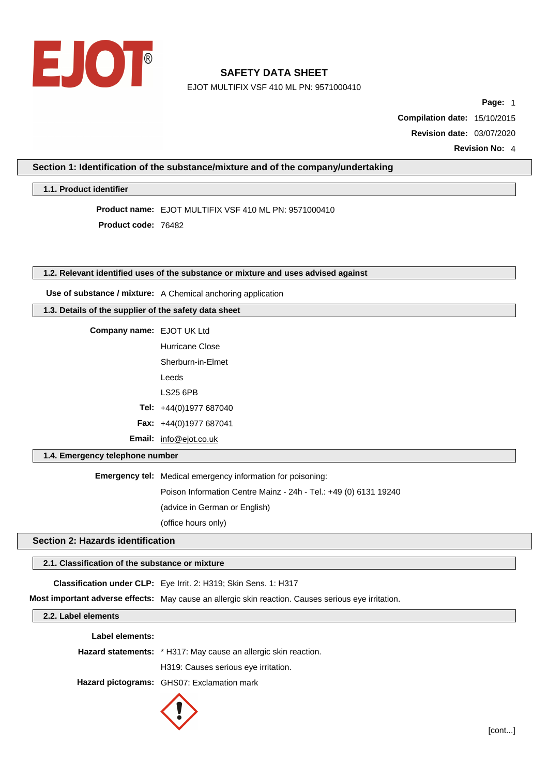

EJOT MULTIFIX VSF 410 ML PN: 9571000410

**Page:** 1

**Compilation date:** 15/10/2015 **Revision date:** 03/07/2020

**Revision No:** 4

### **Section 1: Identification of the substance/mixture and of the company/undertaking**

**1.1. Product identifier**

**Product name:** EJOT MULTIFIX VSF 410 ML PN: 9571000410 **Product code:** 76482

# **1.2. Relevant identified uses of the substance or mixture and uses advised against**

**Use of substance / mixture:** A Chemical anchoring application

|  |  |  | 1.3. Details of the supplier of the safety data sheet |  |  |  |  |
|--|--|--|-------------------------------------------------------|--|--|--|--|
|--|--|--|-------------------------------------------------------|--|--|--|--|

| <b>Company name: EJOT UK Ltd</b> |                                 |
|----------------------------------|---------------------------------|
|                                  | Hurricane Close                 |
|                                  | Sherburn-in-Flmet               |
|                                  | Leeds                           |
|                                  | <b>LS25 6PB</b>                 |
|                                  | Tel: +44(0)1977 687040          |
|                                  | <b>Fax:</b> $+44(0)1977687041$  |
|                                  | <b>Email:</b> $info@ejot.co.uk$ |

### **1.4. Emergency telephone number**

**Emergency tel:** Medical emergency information for poisoning: Poison Information Centre Mainz - 24h - Tel.: +49 (0) 6131 19240 (advice in German or English) (office hours only)

**Section 2: Hazards identification**

### **2.1. Classification of the substance or mixture**

**Classification under CLP:** Eye Irrit. 2: H319; Skin Sens. 1: H317

**Most important adverse effects:** May cause an allergic skin reaction. Causes serious eye irritation.

**2.2. Label elements**

| Label elements: |                                                                 |
|-----------------|-----------------------------------------------------------------|
|                 | Hazard statements: * H317: May cause an allergic skin reaction. |
|                 | H319: Causes serious eye irritation.                            |
|                 | Hazard pictograms: GHS07: Exclamation mark                      |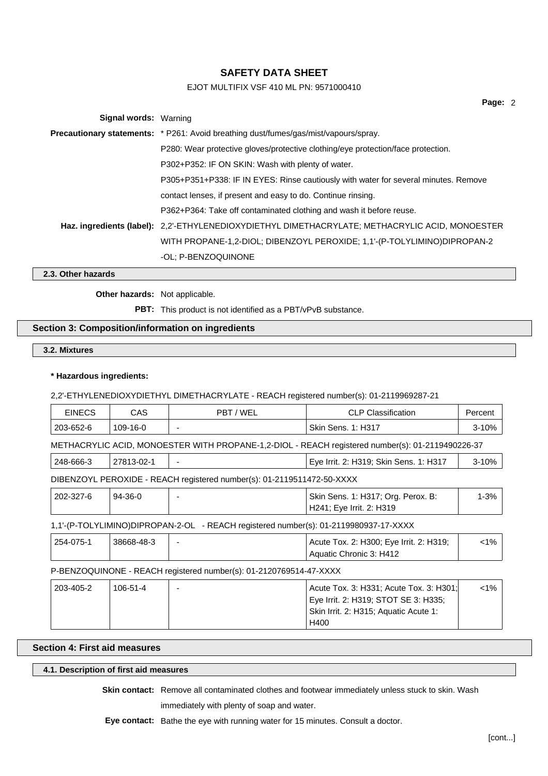# EJOT MULTIFIX VSF 410 ML PN: 9571000410

| <b>Signal words: Warning</b> |                                                                                                 |
|------------------------------|-------------------------------------------------------------------------------------------------|
|                              | <b>Precautionary statements:</b> * P261: Avoid breathing dust/fumes/gas/mist/vapours/spray.     |
|                              | P280: Wear protective gloves/protective clothing/eye protection/face protection.                |
|                              | P302+P352: IF ON SKIN: Wash with plenty of water.                                               |
|                              | P305+P351+P338: IF IN EYES: Rinse cautiously with water for several minutes. Remove             |
|                              | contact lenses, if present and easy to do. Continue rinsing.                                    |
|                              | P362+P364: Take off contaminated clothing and wash it before reuse.                             |
|                              | Haz. ingredients (label): 2.2'-ETHYLENEDIOXYDIETHYL DIMETHACRYLATE; METHACRYLIC ACID, MONOESTER |
|                              | WITH PROPANE-1,2-DIOL; DIBENZOYL PEROXIDE; 1,1'-(P-TOLYLIMINO)DIPROPAN-2                        |
|                              | -OL: P-BENZOQUINONE                                                                             |

**2.3. Other hazards**

**Other hazards:** Not applicable.

PBT: This product is not identified as a PBT/vPvB substance.

## **Section 3: Composition/information on ingredients**

**3.2. Mixtures**

### **\* Hazardous ingredients:**

2,2'-ETHYLENEDIOXYDIETHYL DIMETHACRYLATE - REACH registered number(s): 01-2119969287-21

| <b>EINECS</b> | <b>CAS</b> | PBT / WEL                                                                            | <b>CLP Classification</b>                                                                                                | Percent   |
|---------------|------------|--------------------------------------------------------------------------------------|--------------------------------------------------------------------------------------------------------------------------|-----------|
| 203-652-6     | 109-16-0   |                                                                                      | <b>Skin Sens. 1: H317</b>                                                                                                | $3 - 10%$ |
|               |            |                                                                                      | METHACRYLIC ACID, MONOESTER WITH PROPANE-1,2-DIOL - REACH registered number(s): 01-2119490226-37                         |           |
| 248-666-3     | 27813-02-1 |                                                                                      | Eye Irrit. 2: H319; Skin Sens. 1: H317                                                                                   | $3 - 10%$ |
|               |            | DIBENZOYL PEROXIDE - REACH registered number(s): 01-2119511472-50-XXXX               |                                                                                                                          |           |
| 202-327-6     | $94-36-0$  |                                                                                      | Skin Sens. 1: H317; Org. Perox. B:<br>H241; Eye Irrit. 2: H319                                                           | $1 - 3%$  |
|               |            | 1,1'-(P-TOLYLIMINO)DIPROPAN-2-OL - REACH registered number(s): 01-2119980937-17-XXXX |                                                                                                                          |           |
| 254-075-1     | 38668-48-3 |                                                                                      | Acute Tox. 2: H300; Eye Irrit. 2: H319;<br>Aquatic Chronic 3: H412                                                       | $< 1\%$   |
|               |            | P-BENZOQUINONE - REACH registered number(s): 01-2120769514-47-XXXX                   |                                                                                                                          |           |
| 203-405-2     | 106-51-4   |                                                                                      | Acute Tox. 3: H331; Acute Tox. 3: H301;<br>Eye Irrit. 2: H319; STOT SE 3: H335;<br>Skin Irrit. 2: H315; Aquatic Acute 1: | $< 1\%$   |

### **Section 4: First aid measures**

# **4.1. Description of first aid measures**

**Skin contact:** Remove all contaminated clothes and footwear immediately unless stuck to skin. Wash

H400

immediately with plenty of soap and water.

**Eye contact:** Bathe the eye with running water for 15 minutes. Consult a doctor.

**Page:** 2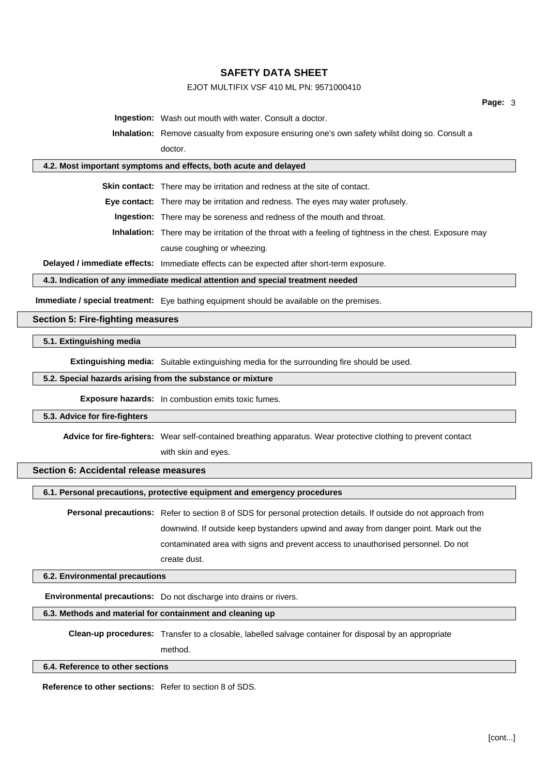## EJOT MULTIFIX VSF 410 ML PN: 9571000410

**Ingestion:** Wash out mouth with water. Consult a doctor.

**Inhalation:** Remove casualty from exposure ensuring one's own safety whilst doing so. Consult a doctor.

#### **4.2. Most important symptoms and effects, both acute and delayed**

**Skin contact:** There may be irritation and redness at the site of contact.

**Eye contact:** There may be irritation and redness. The eyes may water profusely.

**Ingestion:** There may be soreness and redness of the mouth and throat.

**Inhalation:** There may be irritation of the throat with a feeling of tightness in the chest. Exposure may cause coughing or wheezing.

**Delayed / immediate effects:** Immediate effects can be expected after short-term exposure.

### **4.3. Indication of any immediate medical attention and special treatment needed**

**Immediate / special treatment:** Eye bathing equipment should be available on the premises.

#### **Section 5: Fire-fighting measures**

#### **5.1. Extinguishing media**

**Extinguishing media:** Suitable extinguishing media for the surrounding fire should be used.

### **5.2. Special hazards arising from the substance or mixture**

**Exposure hazards:** In combustion emits toxic fumes.

#### **5.3. Advice for fire-fighters**

**Advice for fire-fighters:** Wear self-contained breathing apparatus. Wear protective clothing to prevent contact

with skin and eyes.

### **Section 6: Accidental release measures**

**6.1. Personal precautions, protective equipment and emergency procedures**

**Personal precautions:** Refer to section 8 of SDS for personal protection details. If outside do not approach from downwind. If outside keep bystanders upwind and away from danger point. Mark out the contaminated area with signs and prevent access to unauthorised personnel. Do not create dust.

#### **6.2. Environmental precautions**

**Environmental precautions:** Do not discharge into drains or rivers.

## **6.3. Methods and material for containment and cleaning up**

**Clean-up procedures:** Transfer to a closable, labelled salvage container for disposal by an appropriate method.

#### **6.4. Reference to other sections**

**Reference to other sections:** Refer to section 8 of SDS.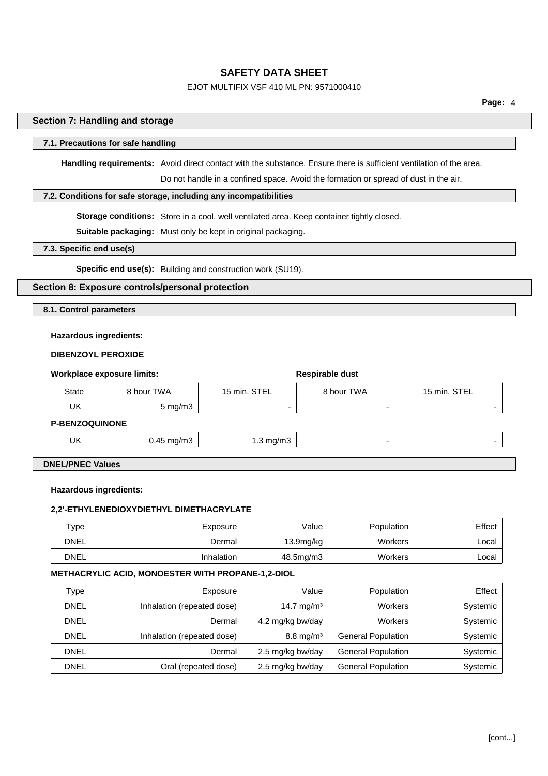## EJOT MULTIFIX VSF 410 ML PN: 9571000410

#### **Section 7: Handling and storage**

### **7.1. Precautions for safe handling**

**Handling requirements:** Avoid direct contact with the substance. Ensure there is sufficient ventilation of the area.

Do not handle in a confined space. Avoid the formation or spread of dust in the air.

### **7.2. Conditions for safe storage, including any incompatibilities**

**Storage conditions:** Store in a cool, well ventilated area. Keep container tightly closed.

**Suitable packaging:** Must only be kept in original packaging.

### **7.3. Specific end use(s)**

**Specific end use(s):** Building and construction work (SU19).

# **Section 8: Exposure controls/personal protection**

**8.1. Control parameters**

#### **Hazardous ingredients:**

### **DIBENZOYL PEROXIDE**

| Workplace exposure limits: |                      |              | Respirable dust |              |  |
|----------------------------|----------------------|--------------|-----------------|--------------|--|
| State                      | 8 hour TWA           | 15 min. STEL | 8 hour TWA      | 15 min. STEL |  |
| UK                         | $5 \text{ mg/m}$ 3   |              |                 | -            |  |
|                            | <b>D DEMZOOUMONE</b> |              |                 |              |  |

**P-BENZOQUINONE**

| UK | <br>.1/ I I I . |  |
|----|-----------------|--|
|    |                 |  |

**DNEL/PNEC Values**

### **Hazardous ingredients:**

# **2,2'-ETHYLENEDIOXYDIETHYL DIMETHACRYLATE**

| $\tau$ ype | Exposure   | Value                 | Population     | Effect |
|------------|------------|-----------------------|----------------|--------|
| DNEL       | Dermal     | 13.9 <sub>mg/kg</sub> | <b>Workers</b> | ∟ocal  |
| DNEL       | Inhalation | $48.5$ mg/m $3$       | <b>Workers</b> | ∟ocal  |

### **METHACRYLIC ACID, MONOESTER WITH PROPANE-1,2-DIOL**

| Type        | Exposure                   | Value                  | Population                | Effect   |
|-------------|----------------------------|------------------------|---------------------------|----------|
| <b>DNEL</b> | Inhalation (repeated dose) | 14.7 mg/m <sup>3</sup> | <b>Workers</b>            | Systemic |
| <b>DNEL</b> | Dermal                     | 4.2 mg/kg bw/day       | <b>Workers</b>            | Systemic |
| <b>DNEL</b> | Inhalation (repeated dose) | $8.8 \text{ mg/m}^3$   | <b>General Population</b> | Systemic |
| <b>DNEL</b> | Dermal                     | 2.5 mg/kg bw/day       | <b>General Population</b> | Systemic |
| <b>DNEL</b> | Oral (repeated dose)       | 2.5 mg/kg bw/day       | <b>General Population</b> | Systemic |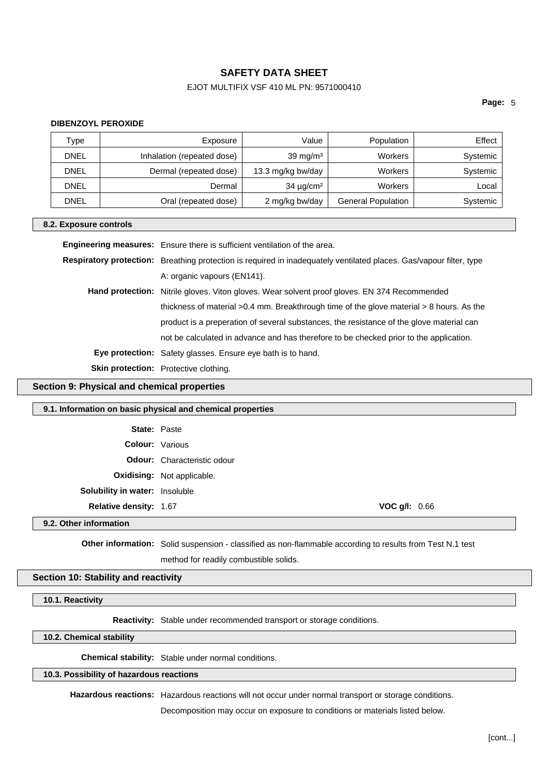# EJOT MULTIFIX VSF 410 ML PN: 9571000410

**Page:** 5

### **DIBENZOYL PEROXIDE**

| Туре        | Exposure                   | Value             | Population                | Effect   |
|-------------|----------------------------|-------------------|---------------------------|----------|
| <b>DNEL</b> | Inhalation (repeated dose) | 39 mg/m $3$       | Workers                   | Systemic |
| <b>DNEL</b> | Dermal (repeated dose)     | 13.3 mg/kg bw/day | Workers                   | Systemic |
| DNEL        | Dermal                     | $34 \mu g/cm^2$   | Workers                   | Local    |
| <b>DNEL</b> | Oral (repeated dose)       | 2 mg/kg bw/day    | <b>General Population</b> | Systemic |

#### **8.2. Exposure controls**

| Engineering measures: Ensure there is sufficient ventilation of the area.                                           |
|---------------------------------------------------------------------------------------------------------------------|
| Respiratory protection: Breathing protection is required in inadequately ventilated places. Gas/vapour filter, type |
| A: organic vapours (EN141).                                                                                         |
| <b>Hand protection:</b> Nitrile gloves. Viton gloves. Wear solvent proof gloves. EN 374 Recommended                 |
| thickness of material $>0.4$ mm. Breakthrough time of the glove material $> 8$ hours. As the                        |
| product is a preperation of several substances, the resistance of the glove material can                            |
| not be calculated in advance and has therefore to be checked prior to the application.                              |
| <b>Eye protection:</b> Safety glasses. Ensure eye bath is to hand.                                                  |
| <b>Skin protection:</b> Protective clothing.                                                                        |
|                                                                                                                     |

### **Section 9: Physical and chemical properties**

#### **9.1. Information on basic physical and chemical properties**

| <b>State: Paste</b>            |                                    |  |  |
|--------------------------------|------------------------------------|--|--|
| <b>Colour:</b> Various         |                                    |  |  |
|                                | <b>Odour:</b> Characteristic odour |  |  |
|                                | <b>Oxidising:</b> Not applicable.  |  |  |
| Solubility in water: Insoluble |                                    |  |  |
| Relative density: 1.67         | <b>VOC g/l:</b> $0.66$             |  |  |
| 9.2. Other information         |                                    |  |  |

**Other information:** Solid suspension - classified as non-flammable according to results from Test N.1 test method for readily combustible solids.

### **Section 10: Stability and reactivity**

**10.1. Reactivity**

**Reactivity:** Stable under recommended transport or storage conditions.

## **10.2. Chemical stability**

**Chemical stability:** Stable under normal conditions.

#### **10.3. Possibility of hazardous reactions**

**Hazardous reactions:** Hazardous reactions will not occur under normal transport or storage conditions.

Decomposition may occur on exposure to conditions or materials listed below.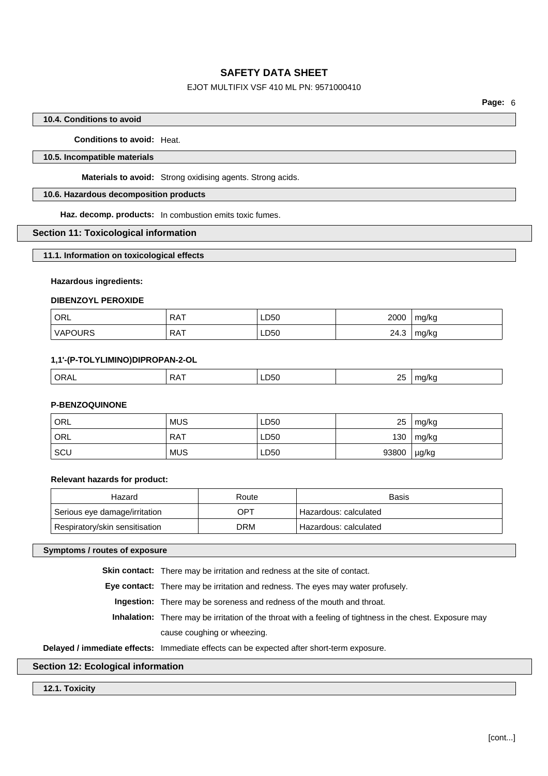## EJOT MULTIFIX VSF 410 ML PN: 9571000410

### **10.4. Conditions to avoid**

**Conditions to avoid:** Heat.

### **10.5. Incompatible materials**

**Materials to avoid:** Strong oxidising agents. Strong acids.

### **10.6. Hazardous decomposition products**

**Haz. decomp. products:** In combustion emits toxic fumes.

### **Section 11: Toxicological information**

#### **11.1. Information on toxicological effects**

### **Hazardous ingredients:**

#### **DIBENZOYL PEROXIDE**

| ' ORL          | <b>RAT</b> | LD50         | 2000 | mg/kg |
|----------------|------------|--------------|------|-------|
| <b>VAPOURS</b> | RAT        | LD50<br>____ | 24.3 | mg/kg |

### **1,1'-(P-TOLYLIMINO)DIPROPAN-2-OL**

|  |  |  | п.<br><br>$ -$ | $\sim$ r<br><b>LL</b><br>__ | . .<br>- 11 |
|--|--|--|----------------|-----------------------------|-------------|
|--|--|--|----------------|-----------------------------|-------------|

### **P-BENZOQUINONE**

| ORL | <b>MUS</b> | LD50 | 25    | mg/kg |
|-----|------------|------|-------|-------|
| ORL | RAT        | LD50 | 130   | mg/kg |
| SCU | <b>MUS</b> | LD50 | 93800 | µg/kg |

### **Relevant hazards for product:**

| Hazard                         | Route | Basis                   |
|--------------------------------|-------|-------------------------|
| Serious eye damage/irritation  | OPT   | Hazardous: calculated   |
| Respiratory/skin sensitisation | DRM.  | ' Hazardous: calculated |

### **Symptoms / routes of exposure**

**Skin contact:** There may be irritation and redness at the site of contact.

**Eye contact:** There may be irritation and redness. The eyes may water profusely.

**Ingestion:** There may be soreness and redness of the mouth and throat.

**Inhalation:** There may be irritation of the throat with a feeling of tightness in the chest. Exposure may cause coughing or wheezing.

#### **Delayed / immediate effects:** Immediate effects can be expected after short-term exposure.

### **Section 12: Ecological information**

### **12.1. Toxicity**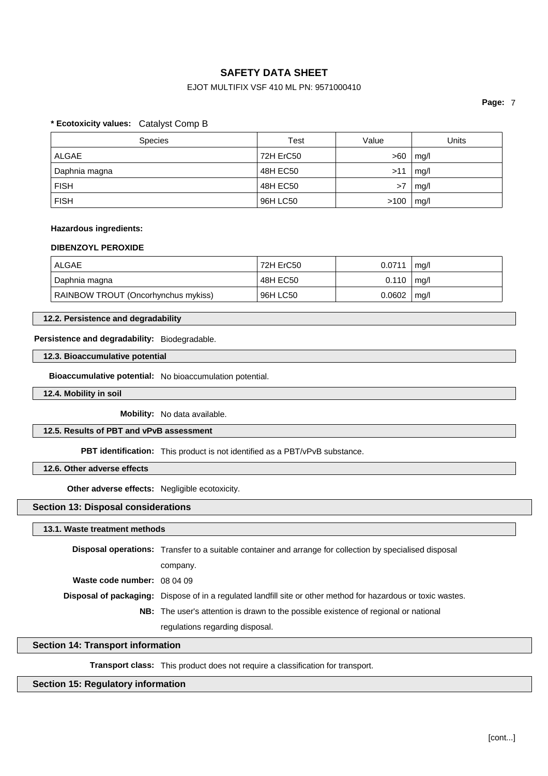## EJOT MULTIFIX VSF 410 ML PN: 9571000410

**Page:** 7

### **\* Ecotoxicity values:** Catalyst Comp B

| <b>Species</b> | Test      | Value | Units |
|----------------|-----------|-------|-------|
| ALGAE          | 72H ErC50 | >60   | mq/l  |
| Daphnia magna  | 48H EC50  | >11   | mq/l  |
| <b>FISH</b>    | 48H EC50  | >7    | mg/l  |
| <b>FISH</b>    | 96H LC50  | >100  | mg/l  |

### **Hazardous ingredients:**

### **DIBENZOYL PEROXIDE**

| ALGAE                               | 72H ErC50 | 0.0711         | mq/l |
|-------------------------------------|-----------|----------------|------|
| Daphnia magna                       | 48H EC50  | $0.110$   mg/l |      |
| RAINBOW TROUT (Oncorhynchus mykiss) | 96H LC50  | 0.0602         | mq/l |

### **12.2. Persistence and degradability**

### **Persistence and degradability:** Biodegradable.

#### **12.3. Bioaccumulative potential**

**Bioaccumulative potential:** No bioaccumulation potential.

### **12.4. Mobility in soil**

**Mobility:** No data available.

### **12.5. Results of PBT and vPvB assessment**

**PBT identification:** This product is not identified as a PBT/vPvB substance.

### **12.6. Other adverse effects**

**Other adverse effects:** Negligible ecotoxicity.

### **Section 13: Disposal considerations**

### **13.1. Waste treatment methods**

|                                    | <b>Disposal operations:</b> Transfer to a suitable container and arrange for collection by specialised disposal |
|------------------------------------|-----------------------------------------------------------------------------------------------------------------|
|                                    | company.                                                                                                        |
| <b>Waste code number:</b> $080409$ |                                                                                                                 |
|                                    | Disposal of packaging: Dispose of in a regulated landfill site or other method for hazardous or toxic wastes.   |
|                                    | <b>NB:</b> The user's attention is drawn to the possible existence of regional or national                      |
|                                    | regulations regarding disposal.                                                                                 |

# **Section 14: Transport information**

**Transport class:** This product does not require a classification for transport.

## **Section 15: Regulatory information**